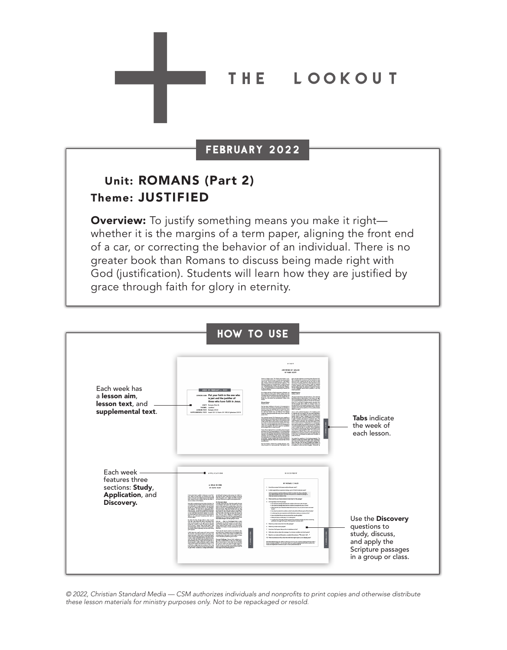#### THE **T** LOOKOUT

### FEBRUARY 2022

## Unit: ROMANS (Part 2) Theme: JUSTIFIED

**Overview:** To justify something means you make it right whether it is the margins of a term paper, aligning the front end of a car, or correcting the behavior of an individual. There is no greater book than Romans to discuss being made right with God (justification). Students will learn how they are justified by grace through faith for glory in eternity.



© 2022, Christian Standard Media — CSM authorizes individuals and nonprofits to print copies and otherwise distribute these lesson materials for ministry purposes only. Not to be repackaged or resold.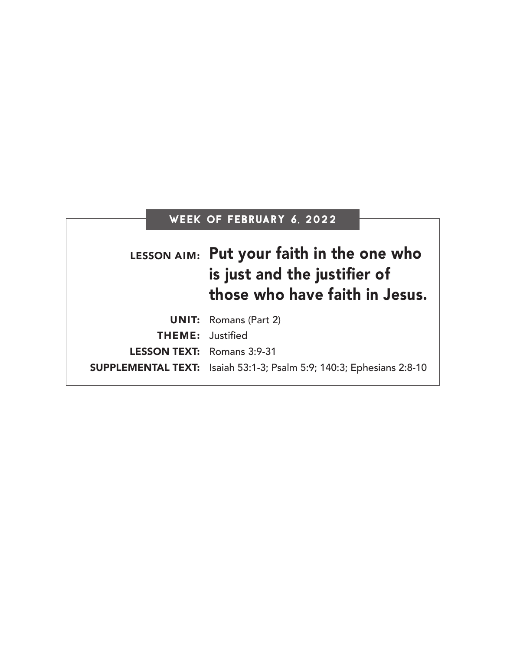# WEEK OF FEBRUARY 6, 2022

|                                   | LESSON AIM: Put your faith in the one who<br>is just and the justifier of<br>those who have faith in Jesus. |
|-----------------------------------|-------------------------------------------------------------------------------------------------------------|
|                                   | <b>UNIT:</b> Romans (Part 2)                                                                                |
| <b>THEME:</b> Justified           |                                                                                                             |
| <b>LESSON TEXT:</b> Romans 3:9-31 |                                                                                                             |
|                                   | SUPPLEMENTAL TEXT: Isaiah 53:1-3; Psalm 5:9; 140:3; Ephesians 2:8-10                                        |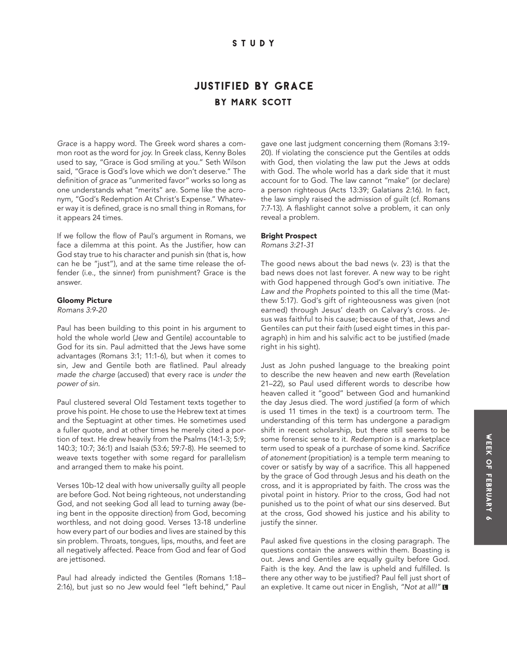### **STUDY**

## by mark scott JUSTIFIED BY GRACE

*Grace* is a happy word. The Greek word shares a common root as the word for *joy*. In Greek class, Kenny Boles used to say, "Grace is God smiling at you." Seth Wilson said, "Grace is God's love which we don't deserve." The definition of *grace* as "unmerited favor" works so long as one understands what "merits" are. Some like the acronym, "God's Redemption At Christ's Expense." Whatever way it is defined, grace is no small thing in Romans, for it appears 24 times.

If we follow the flow of Paul's argument in Romans, we face a dilemma at this point. As the Justifier, how can God stay true to his character and punish sin (that is, how can he be "just"), and at the same time release the offender (i.e., the sinner) from punishment? Grace is the answer.

#### Gloomy Picture

*Romans 3:9-20*

Paul has been building to this point in his argument to hold the whole world (Jew and Gentile) accountable to God for its sin. Paul admitted that the Jews have some advantages (Romans 3:1; 11:1-6), but when it comes to sin, Jew and Gentile both are flatlined. Paul already *made the charge* (accused) that every race is *under the power of sin*.

Paul clustered several Old Testament texts together to prove his point. He chose to use the Hebrew text at times and the Septuagint at other times. He sometimes used a fuller quote, and at other times he merely cited a portion of text. He drew heavily from the Psalms (14:1-3; 5:9; 140:3; 10:7; 36:1) and Isaiah (53:6; 59:7-8). He seemed to weave texts together with some regard for parallelism and arranged them to make his point.

Verses 10b-12 deal with how universally guilty all people are before God. Not being righteous, not understanding God, and not seeking God all lead to turning away (being bent in the opposite direction) from God, becoming worthless, and not doing good. Verses 13-18 underline how every part of our bodies and lives are stained by this sin problem. Throats, tongues, lips, mouths, and feet are all negatively affected. Peace from God and fear of God are jettisoned.

Paul had already indicted the Gentiles (Romans 1:18– 2:16), but just so no Jew would feel "left behind," Paul gave one last judgment concerning them (Romans 3:19- 20). If violating the conscience put the Gentiles at odds with God, then violating the law put the Jews at odds with God. The whole world has a dark side that it must account for to God. The law cannot "make" (or declare) a person righteous (Acts 13:39; Galatians 2:16). In fact, the law simply raised the admission of guilt (cf. Romans 7:7-13). A flashlight cannot solve a problem, it can only reveal a problem.

#### Bright Prospect

*Romans 3:21-31*

The good news about the bad news (v. 23) is that the bad news does not last forever. A new way to be right with God happened through God's own initiative. *The Law and the Prophets* pointed to this all the time (Matthew 5:17). God's gift of righteousness was given (not earned) through Jesus' death on Calvary's cross. Jesus was faithful to his cause; because of that, Jews and Gentiles can put their *faith* (used eight times in this paragraph) in him and his salvific act to be justified (made right in his sight).

Just as John pushed language to the breaking point to describe the new heaven and new earth (Revelation 21–22), so Paul used different words to describe how heaven called it "good" between God and humankind the day Jesus died. The word justified (a form of which is used 11 times in the text) is a courtroom term. The understanding of this term has undergone a paradigm shift in recent scholarship, but there still seems to be some forensic sense to it. *Redemption* is a marketplace term used to speak of a purchase of some kind. Sacrifice *of atonement* (propitiation) is a temple term meaning to cover or satisfy by way of a sacrifice. This all happened by the grace of God through Jesus and his death on the cross, and it is appropriated by faith. The cross was the pivotal point in history. Prior to the cross, God had not punished us to the point of what our sins deserved. But at the cross, God showed his justice and his ability to justify the sinner.

Paul asked five questions in the closing paragraph. The questions contain the answers within them. Boasting is out. Jews and Gentiles are equally guilty before God. Faith is the key. And the law is upheld and fulfilled. Is there any other way to be justified? Paul fell just short of an expletive. It came out nicer in English, "Not at all!"  $\blacksquare$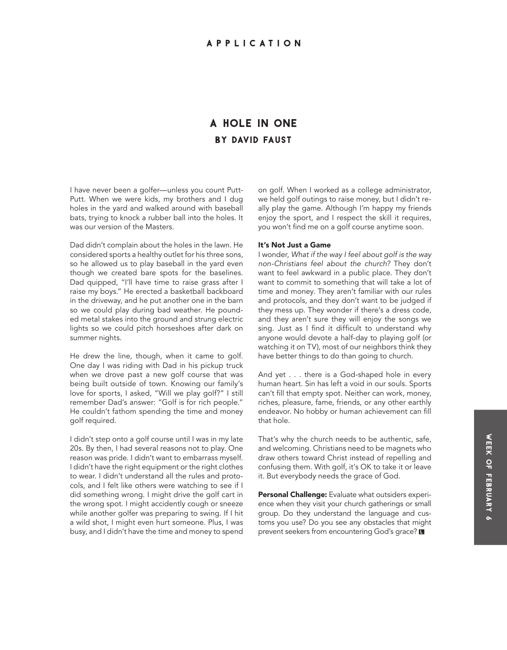## **BY DAVID FAUST** A Hole in One

I have never been a golfer—unless you count Putt-Putt. When we were kids, my brothers and I dug holes in the yard and walked around with baseball bats, trying to knock a rubber ball into the holes. It was our version of the Masters.

Dad didn't complain about the holes in the lawn. He considered sports a healthy outlet for his three sons, so he allowed us to play baseball in the yard even though we created bare spots for the baselines. Dad quipped, "I'll have time to raise grass after I raise my boys." He erected a basketball backboard in the driveway, and he put another one in the barn so we could play during bad weather. He pounded metal stakes into the ground and strung electric lights so we could pitch horseshoes after dark on summer nights.

He drew the line, though, when it came to golf. One day I was riding with Dad in his pickup truck when we drove past a new golf course that was being built outside of town. Knowing our family's love for sports, I asked, "Will we play golf?" I still remember Dad's answer: "Golf is for rich people." He couldn't fathom spending the time and money golf required.

I didn't step onto a golf course until I was in my late 20s. By then, I had several reasons not to play. One reason was pride. I didn't want to embarrass myself. I didn't have the right equipment or the right clothes to wear. I didn't understand all the rules and protocols, and I felt like others were watching to see if I did something wrong. I might drive the golf cart in the wrong spot. I might accidently cough or sneeze while another golfer was preparing to swing. If I hit a wild shot, I might even hurt someone. Plus, I was busy, and I didn't have the time and money to spend

on golf. When I worked as a college administrator, we held golf outings to raise money, but I didn't really play the game. Although I'm happy my friends enjoy the sport, and I respect the skill it requires, you won't find me on a golf course anytime soon.

#### It's Not Just a Game

I wonder, *What if the way I feel about golf is the way non-Christians feel about the church?* They don't want to feel awkward in a public place. They don't want to commit to something that will take a lot of time and money. They aren't familiar with our rules and protocols, and they don't want to be judged if they mess up. They wonder if there's a dress code, and they aren't sure they will enjoy the songs we sing. Just as I find it difficult to understand why anyone would devote a half-day to playing golf (or watching it on TV), most of our neighbors think they have better things to do than going to church.

And yet . . . there is a God-shaped hole in every human heart. Sin has left a void in our souls. Sports can't fill that empty spot. Neither can work, money, riches, pleasure, fame, friends, or any other earthly endeavor. No hobby or human achievement can fill that hole.

That's why the church needs to be authentic, safe, and welcoming. Christians need to be magnets who draw others toward Christ instead of repelling and confusing them. With golf, it's OK to take it or leave it. But everybody needs the grace of God.

Personal Challenge: Evaluate what outsiders experience when they visit your church gatherings or small group. Do they understand the language and customs you use? Do you see any obstacles that might prevent seekers from encountering God's grace? **□**